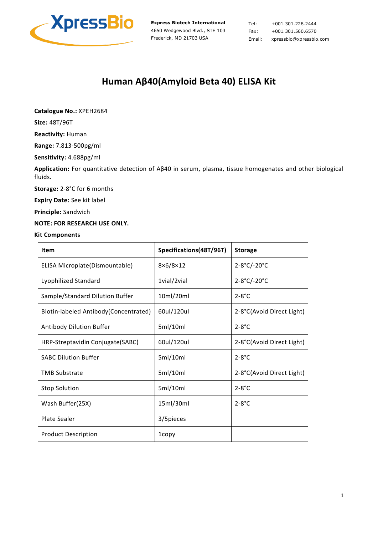

Tel: +001.301.228.2444 Fax: +001.301.560.6570 Email: xpressbio@xpressbio.com

## **Human Aβ40(Amyloid Beta 40) ELISA Kit**

**Catalogue No.:** XPEH2684

**Size:** 48T/96T

**Reactivity:** Human

**Range:** 7.813-500pg/ml

**Sensitivity:** 4.688pg/ml

**Application:** For quantitative detection of Aβ40 in serum, plasma, tissue homogenates and other biological fluids.

**Storage:** 2-8°C for 6 months

**Expiry Date:** See kit label

**Principle:** Sandwich

#### **NOTE: FOR RESEARCH USE ONLY.**

#### **Kit Components**

| Item                                   | Specifications(48T/96T) | <b>Storage</b>            |
|----------------------------------------|-------------------------|---------------------------|
| ELISA Microplate(Dismountable)         | $8\times 6/8\times 12$  | 2-8°C/-20°C               |
| Lyophilized Standard                   | 1vial/2vial             | 2-8°C/-20°C               |
| Sample/Standard Dilution Buffer        | 10ml/20ml               | $2 - 8$ °C                |
| Biotin-labeled Antibody (Concentrated) | 60ul/120ul              | 2-8°C(Avoid Direct Light) |
| Antibody Dilution Buffer               | 5ml/10ml                | $2 - 8$ °C                |
| HRP-Streptavidin Conjugate(SABC)       | 60ul/120ul              | 2-8°C(Avoid Direct Light) |
| <b>SABC Dilution Buffer</b>            | 5ml/10ml                | $2 - 8$ °C                |
| <b>TMB Substrate</b>                   | 5ml/10ml                | 2-8°C(Avoid Direct Light) |
| <b>Stop Solution</b>                   | 5ml/10ml                | $2 - 8^\circ C$           |
| Wash Buffer(25X)                       | 15ml/30ml               | $2 - 8^\circ C$           |
| Plate Sealer                           | 3/5pieces               |                           |
| <b>Product Description</b>             | 1copy                   |                           |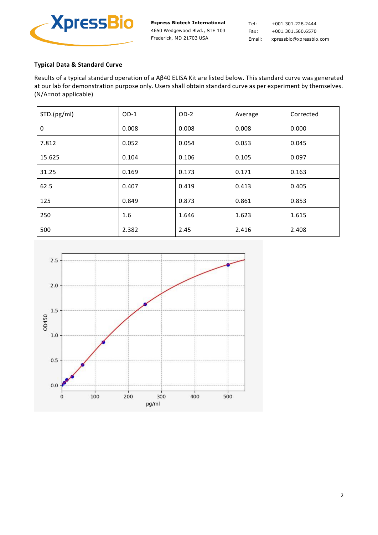

Tel: +001.301.228.2444 Fax: +001.301.560.6570 Email: xpressbio@xpressbio.com

## **Typical Data & Standard Curve**

Results of a typical standard operation of a Aβ40 ELISA Kit are listed below. This standard curve was generated at our lab for demonstration purpose only. Users shall obtain standard curve as per experiment by themselves. (N/A=not applicable)

| STD.(pg/ml) | $OD-1$ | $OD-2$ | Average | Corrected |
|-------------|--------|--------|---------|-----------|
| 0           | 0.008  | 0.008  | 0.008   | 0.000     |
| 7.812       | 0.052  | 0.054  | 0.053   | 0.045     |
| 15.625      | 0.104  | 0.106  | 0.105   | 0.097     |
| 31.25       | 0.169  | 0.173  | 0.171   | 0.163     |
| 62.5        | 0.407  | 0.419  | 0.413   | 0.405     |
| 125         | 0.849  | 0.873  | 0.861   | 0.853     |
| 250         | 1.6    | 1.646  | 1.623   | 1.615     |
| 500         | 2.382  | 2.45   | 2.416   | 2.408     |

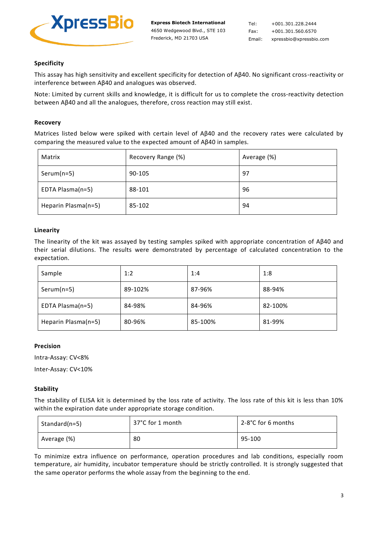

## **Specificity**

This assay has high sensitivity and excellent specificity for detection of Aβ40. No significant cross-reactivity or interference between Aβ40 and analogues was observed.

Note: Limited by current skills and knowledge, it is difficult for us to complete the cross-reactivity detection between Aβ40 and all the analogues, therefore, cross reaction may still exist.

#### **Recovery**

Matrices listed below were spiked with certain level of Aβ40 and the recovery rates were calculated by comparing the measured value to the expected amount of Aβ40 in samples.

| Matrix              | Recovery Range (%) | Average (%) |
|---------------------|--------------------|-------------|
| $Serum(n=5)$        | 90-105             | 97          |
| EDTA Plasma(n=5)    | 88-101             | 96          |
| Heparin Plasma(n=5) | 85-102             | 94          |

#### **Linearity**

The linearity of the kit was assayed by testing samples spiked with appropriate concentration of Aβ40 and their serial dilutions. The results were demonstrated by percentage of calculated concentration to the expectation.

| Sample              | 1:2     | 1:4     | 1:8     |
|---------------------|---------|---------|---------|
| $Serum(n=5)$        | 89-102% | 87-96%  | 88-94%  |
| EDTA Plasma(n=5)    | 84-98%  | 84-96%  | 82-100% |
| Heparin Plasma(n=5) | 80-96%  | 85-100% | 81-99%  |

#### **Precision**

Intra-Assay: CV<8%

Inter-Assay: CV<10%

#### **Stability**

The stability of ELISA kit is determined by the loss rate of activity. The loss rate of this kit is less than 10% within the expiration date under appropriate storage condition.

| Standard(n=5) | 37°C for 1 month | 2-8°C for 6 months |
|---------------|------------------|--------------------|
| Average (%)   | 80               | 95-100             |

To minimize extra influence on performance, operation procedures and lab conditions, especially room temperature, air humidity, incubator temperature should be strictly controlled. It is strongly suggested that the same operator performs the whole assay from the beginning to the end.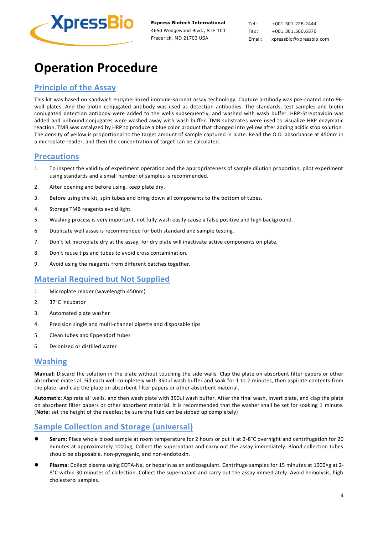

Tel: +001.301.228.2444 Fax: +001.301.560.6570 Email: xpressbio@xpressbio.com

# **Operation Procedure**

## **Principle of the Assay**

This kit was based on sandwich enzyme-linked immune-sorbent assay technology. Capture antibody was pre-coated onto 96 well plates. And the biotin conjugated antibody was used as detection antibodies. The standards, test samples and biotin conjugated detection antibody were added to the wells subsequently, and washed with wash buffer. HRP-Streptavidin was added and unbound conjugates were washed away with wash buffer. TMB substrates were used to visualize HRP enzymatic reaction. TMB was catalyzed by HRP to produce a blue color product that changed into yellow after adding acidic stop solution . The density of yellow is proportional to the target amount of sample captured in plate. Read the O.D. absorbance at 450nm in a microplate reader, and then the concentration of target can be calculated.

## **Precautions**

- 1. To inspect the validity of experiment operation and the appropriateness of sample dilution proportion, pilot experiment using standards and a small number of samples is recommended.
- 2. After opening and before using, keep plate dry.
- 3. Before using the kit, spin tubes and bring down all components to the bottom of tubes.
- 4. Storage TMB reagents avoid light.
- 5. Washing process is very important, not fully wash easily cause a false positive and high background.
- 6. Duplicate well assay is recommended for both standard and sample testing.
- 7. Don't let microplate dry at the assay, for dry plate will inactivate active components on plate.
- 8. Don't reuse tips and tubes to avoid cross contamination.
- 9. Avoid using the reagents from different batches together.

## **Material Required but Not Supplied**

- 1. Microplate reader (wavelength:450nm)
- 2. 37°C incubator
- 3. Automated plate washer
- 4. Precision single and multi-channel pipette and disposable tips
- 5. Clean tubes and Eppendorf tubes
- 6. Deionized or distilled water

## **Washing**

**Manual:** Discard the solution in the plate without touching the side walls. Clap the plate on absorbent filter papers or other absorbent material. Fill each well completely with 350ul wash buffer and soak for 1 to 2 minutes, then aspirate contents from the plate, and clap the plate on absorbent filter papers or other absorbent material.

**Automatic:** Aspirate all wells, and then wash plate with 350ul wash buffer. After the final wash, invert plate, and clap the plate on absorbent filter papers or other absorbent material. It is recommended that the washer shall be set for soaking 1 minute. (**Note:** set the height of the needles; be sure the fluid can be sipped up completely)

## **Sample Collection and Storage (universal)**

- Serum: Place whole blood sample at room temperature for 2 hours or put it at 2-8°C overnight and centrifugation for 20 minutes at approximately 1000×g, Collect the supernatant and carry out the assay immediately. Blood collection tubes should be disposable, non-pyrogenic, and non-endotoxin.
- Plasma: Collect plasma using EDTA-Na<sub>2</sub> or heparin as an anticoagulant. Centrifuge samples for 15 minutes at 1000×g at 2-8°C within 30 minutes of collection. Collect the supernatant and carry out the assay immediately. Avoid hemolysis, high cholesterol samples.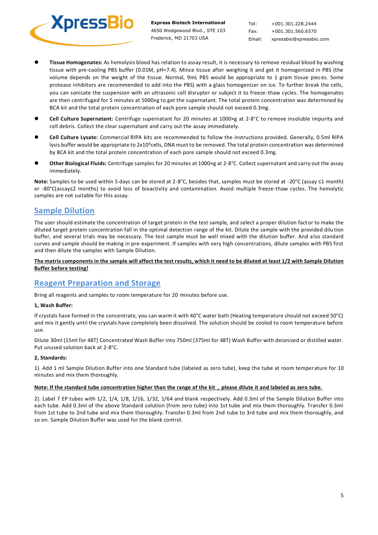

Tel: +001.301.228.2444 Fax: +001.301.560.6570 Email: xpressbio@xpressbio.com

- ⚫ **Tissue Homogenates:** As hemolysis blood has relation to assay result, it is necessary to remove residual blood by washing tissue with pre-cooling PBS buffer (0.01M, pH=7.4). Mince tissue after weighing it and get it homogenized in PBS (the volume depends on the weight of the tissue. Normal, 9mL PBS would be appropriate to 1 gram tissue pieces. Some protease inhibitors are recommended to add into the PBS) with a glass homogenizer on ice. To further break the cells, you can sonicate the suspension with an ultrasonic cell disrupter or subject it to freeze-thaw cycles. The homogenates are then centrifuged for 5 minutes at 5000×g to get the supernatant. The total protein concentration was determined by BCA kit and the total protein concentration of each pore sample should not exceed 0.3mg.
- ⚫ **Cell Culture Supernatant:** Centrifuge supernatant for 20 minutes at 1000×g at 2-8°C to remove insoluble impurity and cell debris. Collect the clear supernatant and carry out the assay immediately.
- ⚫ **Cell Culture Lysate:** Commercial RIPA kits are recommended to follow the instructions provided. Generally, 0.5ml RIPA lysis buffer would be appropriate to 2x10<sup>6</sup>cells, DNA must to be removed. The total protein concentration was determined by BCA kit and the total protein concentration of each pore sample should not exceed 0.3mg.
- ⚫ **Other Biological Fluids:** Centrifuge samples for 20 minutes at 1000×g at 2-8°C. Collect supernatant and carry out the assay immediately.

**Note:** Samples to be used within 5 days can be stored at 2-8°C, besides that, samples must be stored at -20°C (assay ≤1 month) or -80°C(assay≤2 months) to avoid loss of bioactivity and contamination. Avoid multiple freeze-thaw cycles. The hemolytic samples are not suitable for this assay.

## **Sample Dilution**

The user should estimate the concentration of target protein in the test sample, and select a proper dilution factor to make the diluted target protein concentration fall in the optimal detection range of the kit. Dilute the sample with the provided dilu tion buffer, and several trials may be necessary. The test sample must be well mixed with the dilution buffer. And also standard curves and sample should be making in pre-experiment. If samples with very high concentrations, dilute samples with PBS first and then dilute the samples with Sample Dilution.

#### **The matrix components in the sample will affect the test results, which it need to be diluted at least 1/2 with Sample Dilution Buffer before testing!**

## **Reagent Preparation and Storage**

Bring all reagents and samples to room temperature for 20 minutes before use.

#### **1, Wash Buffer:**

If crystals have formed in the concentrate, you can warm it with 40°C water bath (Heating temperature should not exceed 50°C) and mix it gently until the crystals have completely been dissolved. The solution should be cooled to room temperature before use.

Dilute 30ml (15ml for 48T) Concentrated Wash Buffer into 750ml (375ml for 48T) Wash Buffer with deionized or distilled water. Put unused solution back at 2-8°C.

#### **2, Standards:**

1). Add 1 ml Sample Dilution Buffer into one Standard tube (labeled as zero tube), keep the tube at room temper ature for 10 minutes and mix them thoroughly.

#### **Note: If the standard tube concentration higher than the range of the kit,please dilute it and labeled as zero tube.**

2). Label 7 EP tubes with 1/2, 1/4, 1/8, 1/16, 1/32, 1/64 and blank respectively. Add 0.3ml of the Sample Dilution Buffer into each tube. Add 0.3ml of the above Standard solution (from zero tube) into 1st tube and mix them thoroughly. Transfer 0.3ml from 1st tube to 2nd tube and mix them thoroughly. Transfer 0.3ml from 2nd tube to 3rd tube and mix them thoroughly, and so on. Sample Dilution Buffer was used for the blank control.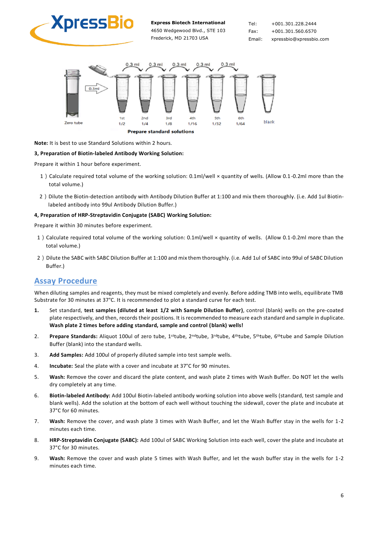

Tel: +001.301.228.2444 Fax: +001.301.560.6570 Email: xpressbio@xpressbio.com



**Note:** It is best to use Standard Solutions within 2 hours.

#### **3, Preparation of Biotin-labeled Antibody Working Solution:**

Prepare it within 1 hour before experiment.

- 1) Calculate required total volume of the working solution: 0.1ml/well × quantity of wells. (Allow 0.1-0.2ml more than the total volume.)
- 2) Dilute the Biotin-detection antibody with Antibody Dilution Buffer at 1:100 and mix them thoroughly. (i.e. Add 1ul Biotinlabeled antibody into 99ul Antibody Dilution Buffer.)

#### **4, Preparation of HRP-Streptavidin Conjugate (SABC) Working Solution:**

Prepare it within 30 minutes before experiment.

- 1) Calculate required total volume of the working solution: 0.1ml/well × quantity of wells. (Allow 0.1-0.2ml more than the total volume.)
- 2) Dilute the SABC with SABC Dilution Buffer at 1:100 and mix them thoroughly. (i.e. Add 1ul of SABC into 99ul of SABC Dilution Buffer.)

## **Assay Procedure**

When diluting samples and reagents, they must be mixed completely and evenly. Before adding TMB into wells, equilibrate TMB Substrate for 30 minutes at 37°C. It is recommended to plot a standard curve for each test.

- **1.** Set standard, **test samples (diluted at least 1/2 with Sample Dilution Buffer)**, control (blank) wells on the pre-coated plate respectively, and then, records their positions. It is recommended to measure each standard and sample in duplicate. **Wash plate 2 times before adding standard, sample and control (blank) wells!**
- 2. **Prepare Standards:** Aliquot 100ul of zero tube, 1<sup>st</sup>tube, 2<sup>nd</sup>tube, 3<sup>rd</sup>tube, 4<sup>th</sup>tube, 5<sup>th</sup>tube, 6<sup>th</sup>tube and Sample Dilution Buffer (blank) into the standard wells.
- 3. **Add Samples:** Add 100ul of properly diluted sample into test sample wells.
- 4. **Incubate:** Seal the plate with a cover and incubate at 37°C for 90 minutes.
- 5. **Wash:** Remove the cover and discard the plate content, and wash plate 2 times with Wash Buffer. Do NOT let the wells dry completely at any time.
- 6. **Biotin-labeled Antibody:** Add 100ul Biotin-labeled antibody working solution into above wells (standard, test sample and blank wells). Add the solution at the bottom of each well without touching the sidewall, cover the plate and incubate at 37°C for 60 minutes.
- 7. **Wash:** Remove the cover, and wash plate 3 times with Wash Buffer, and let the Wash Buffer stay in the wells for 1-2 minutes each time.
- 8. **HRP-Streptavidin Conjugate (SABC):** Add 100ul of SABC Working Solution into each well, cover the plate and incubate at 37°C for 30 minutes.
- 9. **Wash:** Remove the cover and wash plate 5 times with Wash Buffer, and let the wash buffer stay in the wells for 1-2 minutes each time.